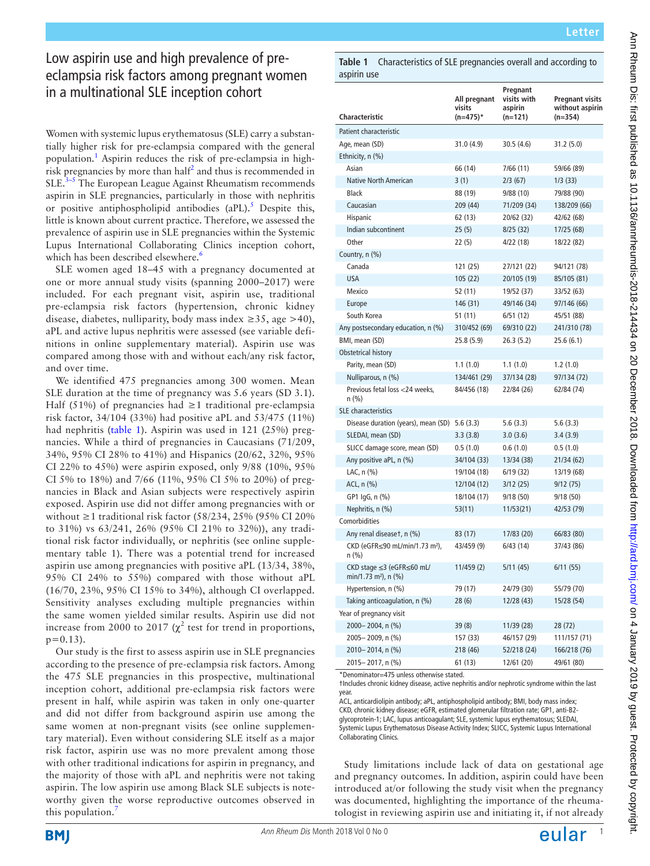## Low aspirin use and high prevalence of preeclampsia risk factors among pregnant women in a multinational SLE inception cohort

Women with systemic lupus erythematosus (SLE) carry a substantially higher risk for pre-eclampsia compared with the general population.<sup>[1](#page-2-0)</sup> Aspirin reduces the risk of pre-eclampsia in high-risk pregnancies by more than half<sup>[2](#page-2-1)</sup> and thus is recommended in  $SLE.<sup>3-5</sup>$  The European League Against Rheumatism recommends aspirin in SLE pregnancies, particularly in those with nephritis or positive antiphospholipid antibodies  $(aPL)$ .<sup>5</sup> Despite this, little is known about current practice. Therefore, we assessed the prevalence of aspirin use in SLE pregnancies within the Systemic Lupus International Collaborating Clinics inception cohort, which has been described elsewhere.<sup>[6](#page-2-4)</sup>

SLE women aged 18–45 with a pregnancy documented at one or more annual study visits (spanning 2000–2017) were included. For each pregnant visit, aspirin use, traditional pre-eclampsia risk factors (hypertension, chronic kidney disease, diabetes, nulliparity, body mass index  $\geq$ 35, age >40), aPL and active lupus nephritis were assessed (see variable definitions in online supplementary material). Aspirin use was compared among those with and without each/any risk factor, and over time.

We identified 475 pregnancies among 300 women. Mean SLE duration at the time of pregnancy was 5.6 years (SD 3.1). Half (51%) of pregnancies had  $\geq$ 1 traditional pre-eclampsia risk factor, 34/104 (33%) had positive aPL and 53/475 (11%) had nephritis ([table](#page-0-0) 1). Aspirin was used in 121 (25%) pregnancies. While a third of pregnancies in Caucasians (71/209, 34%, 95% CI 28% to 41%) and Hispanics (20/62, 32%, 95% CI 22% to 45%) were aspirin exposed, only 9/88 (10%, 95% CI 5% to 18%) and 7/66 (11%, 95% CI 5% to 20%) of pregnancies in Black and Asian subjects were respectively aspirin exposed. Aspirin use did not differ among pregnancies with or without ≥1 traditional risk factor (58/234, 25% (95% CI 20%) to 31%) vs 63/241, 26% (95% CI 21% to 32%)), any traditional risk factor individually, or nephritis (see [online supple](https://dx.doi.org/10.1136/annrheumdis-2018-214434)[mentary table 1\)](https://dx.doi.org/10.1136/annrheumdis-2018-214434). There was a potential trend for increased aspirin use among pregnancies with positive aPL (13/34, 38%, 95% CI 24% to 55%) compared with those without aPL (16/70, 23%, 95% CI 15% to 34%), although CI overlapped. Sensitivity analyses excluding multiple pregnancies within the same women yielded similar results. Aspirin use did not increase from 2000 to 2017 ( $\chi^2$  test for trend in proportions,  $p=0.13$ ).

Our study is the first to assess aspirin use in SLE pregnancies according to the presence of pre-eclampsia risk factors. Among the 475 SLE pregnancies in this prospective, multinational inception cohort, additional pre-eclampsia risk factors were present in half, while aspirin was taken in only one-quarter and did not differ from background aspirin use among the same women at non-pregnant visits (see online supplementary material). Even without considering SLE itself as a major risk factor, aspirin use was no more prevalent among those with other traditional indications for aspirin in pregnancy, and the majority of those with aPL and nephritis were not taking aspirin. The low aspirin use among Black SLE subjects is noteworthy given the worse reproductive outcomes observed in this population.

<span id="page-0-0"></span>**Table 1** Characteristics of SLE pregnancies overall and according to aspirin use

| <b>Characteristic</b>                                                      | All pregnant<br>visits<br>$(n=475)*$ | Pregnant<br>visits with<br>aspirin<br>$(n=121)$ | Pregnant visits<br>without aspirin<br>$(n=354)$ |
|----------------------------------------------------------------------------|--------------------------------------|-------------------------------------------------|-------------------------------------------------|
| Patient characteristic                                                     |                                      |                                                 |                                                 |
| Age, mean (SD)                                                             | 31.0 (4.9)                           | 30.5(4.6)                                       | 31.2(5.0)                                       |
| Ethnicity, n (%)                                                           |                                      |                                                 |                                                 |
| Asian                                                                      |                                      |                                                 |                                                 |
| <b>Native North American</b>                                               | 66 (14)                              | 7/66 (11)                                       | 59/66 (89)                                      |
|                                                                            | 3(1)                                 | 2/3(67)                                         | 1/3 (33)                                        |
| <b>Black</b>                                                               | 88 (19)                              | 9/88(10)                                        | 79/88 (90)                                      |
| Caucasian                                                                  | 209 (44)                             | 71/209 (34)                                     | 138/209 (66)                                    |
| Hispanic                                                                   | 62 (13)                              | 20/62 (32)                                      | 42/62 (68)                                      |
| Indian subcontinent                                                        | 25(5)                                | 8/25(32)                                        | 17/25 (68)                                      |
| Other                                                                      | 22 (5)                               | 4/22 (18)                                       | 18/22 (82)                                      |
| Country, n (%)                                                             |                                      |                                                 |                                                 |
| Canada                                                                     | 121 (25)                             | 27/121 (22)                                     | 94/121 (78)                                     |
| <b>USA</b>                                                                 | 105(22)                              | 20/105 (19)                                     | 85/105 (81)                                     |
| Mexico                                                                     | 52 (11)                              | 19/52 (37)                                      | 33/52 (63)                                      |
| Europe                                                                     | 146 (31)                             | 49/146 (34)                                     | 97/146 (66)                                     |
| South Korea                                                                | 51 (11)                              | 6/51(12)                                        | 45/51 (88)                                      |
| Any postsecondary education, n (%)                                         | 310/452 (69)                         | 69/310 (22)                                     | 241/310 (78)                                    |
| BMI, mean (SD)                                                             | 25.8 (5.9)                           | 26.3(5.2)                                       | 25.6(6.1)                                       |
| Obstetrical history                                                        |                                      |                                                 |                                                 |
| Parity, mean (SD)                                                          | 1.1(1.0)                             | 1.1(1.0)                                        | 1.2 (1.0)                                       |
| Nulliparous, n (%)                                                         | 134/461 (29)                         | 37/134 (28)                                     | 97/134 (72)                                     |
| Previous fetal loss <24 weeks,<br>$n$ (%)                                  | 84/456 (18)                          | 22/84 (26)                                      | 62/84 (74)                                      |
| <b>SLE</b> characteristics                                                 |                                      |                                                 |                                                 |
| Disease duration (years), mean (SD)                                        | 5.6(3.3)                             | 5.6(3.3)                                        | 5.6(3.3)                                        |
| SLEDAI, mean (SD)                                                          | 3.3(3.8)                             | 3.0(3.6)                                        | 3.4(3.9)                                        |
| SLICC damage score, mean (SD)                                              | 0.5(1.0)                             | 0.6(1.0)                                        | 0.5(1.0)                                        |
| Any positive aPL, n (%)                                                    | 34/104 (33)                          | 13/34 (38)                                      | 21/34 (62)                                      |
| LAC, $n$ $(\%)$                                                            | 19/104 (18)                          | 6/19(32)                                        | 13/19 (68)                                      |
| ACL, n (%)                                                                 | 12/104 (12)                          | 3/12(25)                                        | 9/12(75)                                        |
| GP1 IgG, n (%)                                                             | 18/104 (17)                          | 9/18(50)                                        | 9/18(50)                                        |
| Nephritis, n (%)                                                           | 53(11)                               | 11/53(21)                                       | 42/53 (79)                                      |
| Comorbidities                                                              |                                      |                                                 |                                                 |
| Any renal diseaset, n (%)                                                  | 83 (17)                              | 17/83 (20)                                      | 66/83 (80)                                      |
| CKD (eGFR≤90 mL/min/1.73 m <sup>2</sup> ),<br>$n$ (%)                      | 43/459 (9)                           | 6/43 (14)                                       | 37/43 (86)                                      |
| CKD stage $\leq$ 3 (eGFR $\leq$ 60 mL/<br>min/1.73 m <sup>2</sup> ), n (%) | 11/459(2)                            | 5/11 (45)                                       | 6/11(55)                                        |
| Hypertension, n (%)                                                        | 79 (17)                              | 24/79 (30)                                      | 55/79 (70)                                      |
| Taking anticoagulation, n (%)                                              | 28 (6)                               | 12/28 (43)                                      | 15/28 (54)                                      |
| Year of pregnancy visit                                                    |                                      |                                                 |                                                 |
| 2000-2004, n (%)                                                           | 39(8)                                | 11/39 (28)                                      | 28 (72)                                         |
| 2005-2009, n (%)                                                           | 157 (33)                             | 46/157 (29)                                     | 111/157 (71)                                    |
| 2010-2014, n (%)                                                           | 218 (46)                             | 52/218 (24)                                     | 166/218 (76)                                    |
| 2015-2017, n (%)                                                           | 61 (13)                              | 12/61 (20)                                      | 49/61 (80)                                      |

\*Denominator=475 unless otherwise stated.

†Includes chronic kidney disease, active nephritis and/or nephrotic syndrome within the last year.

ACL, anticardiolipin antibody; aPL, antiphospholipid antibody; BMI, body mass index; CKD, chronic kidney disease; eGFR, estimated glomerular filtration rate; GP1, anti-B2 glycoprotein-1; LAC, lupus anticoagulant; SLE, systemic lupus erythematosus; SLEDAI, Systemic Lupus Erythematosus Disease Activity Index; SLICC, Systemic Lupus International Collaborating Clinics.

Study limitations include lack of data on gestational age and pregnancy outcomes. In addition, aspirin could have been introduced at/or following the study visit when the pregnancy was documented, highlighting the importance of the rheumatologist in reviewing aspirin use and initiating it, if not already

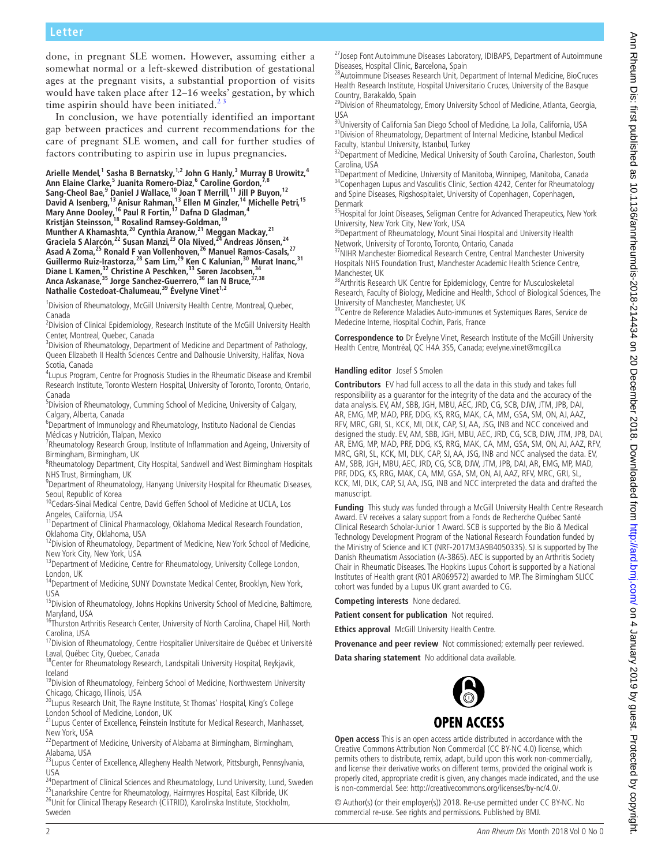done, in pregnant SLE women. However, assuming either a somewhat normal or a left-skewed distribution of gestational ages at the pregnant visits, a substantial proportion of visits would have taken place after 12–16 weeks' gestation, by which time aspirin should have been initiated. $<sup>2</sup>$ </sup>

In conclusion, we have potentially identified an important gap between practices and current recommendations for the care of pregnant SLE women, and call for further studies of factors contributing to aspirin use in lupus pregnancies.

**Arielle Mendel,<sup>1</sup> Sasha B Bernatsky,1,2 John G Hanly,3 Murray B Urowitz,<sup>4</sup> Ann Elaine Clarke,<sup>5</sup> Juanita Romero-Diaz,6 Caroline Gordon,7,8** Sang-Cheol Bae,<sup>9</sup> Daniel J Wallace,<sup>10</sup> Joan T Merrill,<sup>11</sup> Jill P Buyon,<sup>12</sup> **David A Isenberg,13 Anisur Rahman,13 Ellen M Ginzler,14 Michelle Petri,15 Mary Anne Dooley,16 Paul R Fortin,17 Dafna D Gladman,4 Kristján Steinsson,18 Rosalind Ramsey-Goldman,19 Munther A Khamashta,20 Cynthia Aranow,21 Meggan Mackay,21** Graciela S Alarcón,<sup>22</sup> Susan Manzi,<sup>23</sup> Ola Nived,<sup>24</sup> Andreas Jönsen,<sup>24</sup> **Asad A Zoma,25 Ronald F van Vollenhoven,26 Manuel Ramos-Casals,27 Guillermo Ruiz-Irastorza,28 Sam Lim,29 Ken C Kalunian,30 Murat Inanc,31 Diane L Kamen,32 Christine A Peschken,33 Søren Jacobsen,34 Anca Askanase,35 Jorge Sanchez-Guerrero,36 Ian N Bruce,37,38 Nathalie Costedoat-Chalumeau,39 Évelyne Vinet1,2**

<sup>1</sup> Division of Rheumatology, McGill University Health Centre, Montreal, Quebec, Canada

<sup>2</sup> Division of Clinical Epidemiology, Research Institute of the McGill University Health Center, Montreal, Quebec, Canada

<sup>3</sup> Division of Rheumatology, Department of Medicine and Department of Pathology, Queen Elizabeth II Health Sciences Centre and Dalhousie University, Halifax, Nova Scotia, Canada

<sup>4</sup>Lupus Program, Centre for Prognosis Studies in the Rheumatic Disease and Krembil Research Institute, Toronto Western Hospital, University of Toronto, Toronto, Ontario, Canada

5 Division of Rheumatology, Cumming School of Medicine, University of Calgary, Calgary, Alberta, Canada

6 Department of Immunology and Rheumatology, Instituto Nacional de Ciencias Médicas y Nutrición, Tlalpan, Mexico

<sup>7</sup>Rheumatology Research Group, Institute of Inflammation and Ageing, University of Birmingham, Birmingham, UK

<sup>8</sup>Rheumatology Department, City Hospital, Sandwell and West Birmingham Hospitals NHS Trust, Birmingham, UK

<sup>9</sup>Department of Rheumatology, Hanyang University Hospital for Rheumatic Diseases, Seoul, Republic of Korea

<sup>10</sup>Cedars-Sinai Medical Centre, David Geffen School of Medicine at UCLA, Los

Angeles, California, USA 11Department of Clinical Pharmacology, Oklahoma Medical Research Foundation, Oklahoma City, Oklahoma, USA

<sup>12</sup>Division of Rheumatology, Department of Medicine, New York School of Medicine, New York City, New York, USA

<sup>13</sup>Department of Medicine, Centre for Rheumatology, University College London, London, UK

<sup>14</sup>Department of Medicine, SUNY Downstate Medical Center, Brooklyn, New York, USA

<sup>15</sup>Division of Rheumatology, Johns Hopkins University School of Medicine, Baltimore, Maryland, USA

<sup>16</sup>Thurston Arthritis Research Center, University of North Carolina, Chapel Hill, North Carolina, USA

<sup>17</sup>Division of Rheumatology, Centre Hospitalier Universitaire de Québec et Université

Laval, Québec City, Quebec, Canada<br><sup>18</sup>Center for Rheumatology Research, Landspitali University Hospital, Reykjavik, Iceland

<sup>19</sup>Division of Rheumatology, Feinberg School of Medicine, Northwestern University Chicago, Chicago, Illinois, USA

<sup>20</sup>Lupus Research Unit, The Rayne Institute, St Thomas' Hospital, King's College London School of Medicine, London, UK

<sup>21</sup> Lupus Center of Excellence, Feinstein Institute for Medical Research, Manhasset, New York, USA

 $^{22}$ Department of Medicine, University of Alabama at Birmingham, Birmingham, Alabama, USA

<sup>23</sup>Lupus Center of Excellence, Allegheny Health Network, Pittsburgh, Pennsylvania, USA

<sup>24</sup>Department of Clinical Sciences and Rheumatology, Lund University, Lund, Sweden <sup>25</sup>Lanarkshire Centre for Rheumatology, Hairmyres Hospital, East Kilbride, UK <sup>26</sup>Unit for Clinical Therapy Research (CliTRID), Karolinska Institute, Stockholm, Sweden

<sup>27</sup> Josep Font Autoimmune Diseases Laboratory, IDIBAPS, Department of Autoimmune Diseases, Hospital Clínic, Barcelona, Spain

<sup>28</sup>Autoimmune Diseases Research Unit, Department of Internal Medicine, BioCruces Health Research Institute, Hospital Universitario Cruces, University of the Basque Country, Barakaldo, Spain

<sup>29</sup>Division of Rheumatology, Emory University School of Medicine, Atlanta, Georgia, USA

<sup>30</sup>University of California San Diego School of Medicine, La Jolla, California, USA 3<sup>1</sup>Division of Rheumatology, Department of Internal Medicine, Istanbul Medical Faculty, Istanbul University, Istanbul, Turkey

<sup>32</sup>Department of Medicine, Medical University of South Carolina, Charleston, South Carolina, USA

33 Department of Medicine, University of Manitoba, Winnipeg, Manitoba, Canada <sup>34</sup>Copenhagen Lupus and Vasculitis Clinic, Section 4242, Center for Rheumatology and Spine Diseases, Rigshospitalet, University of Copenhagen, Copenhagen, Denmark

<sup>35</sup>Hospital for Joint Diseases, Seligman Centre for Advanced Therapeutics, New York University, New York City, New York, USA

<sup>36</sup>Department of Rheumatology, Mount Sinai Hospital and University Health Network, University of Toronto, Toronto, Ontario, Canada

<sup>37</sup>NIHR Manchester Biomedical Research Centre, Central Manchester University Hospitals NHS Foundation Trust, Manchester Academic Health Science Centre, Manchester, UK

38 Arthritis Research UK Centre for Epidemiology, Centre for Musculoskeletal Research, Faculty of Biology, Medicine and Health, School of Biological Sciences, The University of Manchester, Manchester, UK

<sup>39</sup>Centre de Reference Maladies Auto-immunes et Systemiques Rares, Service de Medecine Interne, Hospital Cochin, Paris, France

**Correspondence to** Dr Évelyne Vinet, Research Institute of the McGill University Health Centre, Montréal, QC H4A 3S5, Canada; evelyne.vinet@mcgill.ca

## **Handling editor** Josef S Smolen

**Contributors** EV had full access to all the data in this study and takes full responsibility as a guarantor for the integrity of the data and the accuracy of the data analysis. EV, AM, SBB, JGH, MBU, AEC, JRD, CG, SCB, DJW, JTM, JPB, DAI, AR, EMG, MP, MAD, PRF, DDG, KS, RRG, MAK, CA, MM, GSA, SM, ON, AJ, AAZ, RFV, MRC, GRI, SL, KCK, MI, DLK, CAP, SJ, AA, JSG, INB and NCC conceived and designed the study. EV, AM, SBB, JGH, MBU, AEC, JRD, CG, SCB, DJW, JTM, JPB, DAI, AR, EMG, MP, MAD, PRF, DDG, KS, RRG, MAK, CA, MM, GSA, SM, ON, AJ, AAZ, RFV, MRC, GRI, SL, KCK, MI, DLK, CAP, SJ, AA, JSG, INB and NCC analysed the data. EV, AM, SBB, JGH, MBU, AEC, JRD, CG, SCB, DJW, JTM, JPB, DAI, AR, EMG, MP, MAD, PRF, DDG, KS, RRG, MAK, CA, MM, GSA, SM, ON, AJ, AAZ, RFV, MRC, GRI, SL, KCK, MI, DLK, CAP, SJ, AA, JSG, INB and NCC interpreted the data and drafted the manuscript.

**Funding** This study was funded through a McGill University Health Centre Research Award. EV receives a salary support from a Fonds de Recherche Québec Santé Clinical Research Scholar-Junior 1 Award. SCB is supported by the Bio & Medical Technology Development Program of the National Research Foundation funded by the Ministry of Science and ICT (NRF-2017M3A9B4050335). SJ is supported by The Danish Rheumatism Association (A-3865). AEC is supported by an Arthritis Society Chair in Rheumatic Diseases. The Hopkins Lupus Cohort is supported by a National Institutes of Health grant (R01 AR069572) awarded to MP. The Birmingham SLICC cohort was funded by a Lupus UK grant awarded to CG.

**Competing interests** None declared.

**Patient consent for publication** Not required.

**Ethics approval** McGill University Health Centre.

**Provenance and peer review** Not commissioned; externally peer reviewed.

**Data sharing statement** No additional data available.



**Open access** This is an open access article distributed in accordance with the Creative Commons Attribution Non Commercial (CC BY-NC 4.0) license, which permits others to distribute, remix, adapt, build upon this work non-commercially, and license their derivative works on different terms, provided the original work is properly cited, appropriate credit is given, any changes made indicated, and the use is non-commercial. See: [http://creativecommons.org/licenses/by-nc/4.0/.](http://creativecommons.org/licenses/by-nc/4.0/)

© Author(s) (or their employer(s)) 2018. Re-use permitted under CC BY-NC. No commercial re-use. See rights and permissions. Published by BMJ.